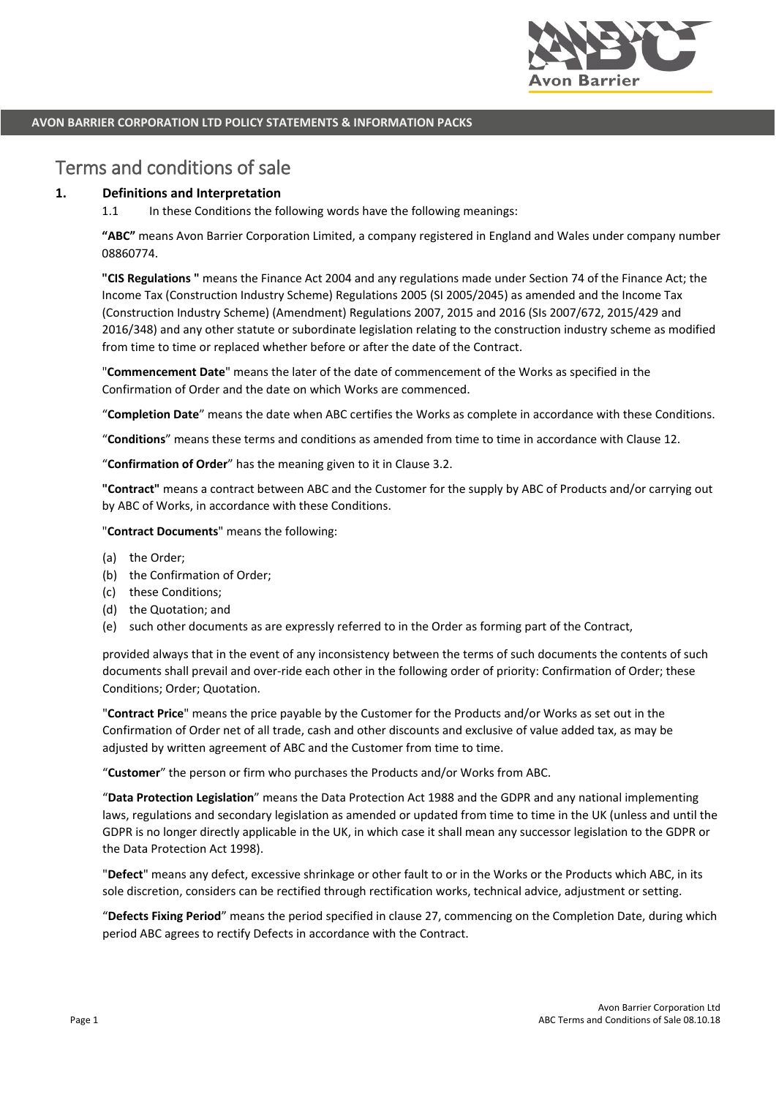

# Terms and conditions of sale

## **1. Definitions and Interpretation**

1.1 In these Conditions the following words have the following meanings:

**"ABC"** means Avon Barrier Corporation Limited, a company registered in England and Wales under company number 08860774.

**"CIS Regulations "** means the Finance Act 2004 and any regulations made under Section 74 of the Finance Act; the Income Tax (Construction Industry Scheme) Regulations 2005 (SI 2005/2045) as amended and the Income Tax (Construction Industry Scheme) (Amendment) Regulations 2007, 2015 and 2016 (SIs 2007/672, 2015/429 and 2016/348) and any other statute or subordinate legislation relating to the construction industry scheme as modified from time to time or replaced whether before or after the date of the Contract.

"**Commencement Date**" means the later of the date of commencement of the Works as specified in the Confirmation of Order and the date on which Works are commenced.

"**Completion Date**" means the date when ABC certifies the Works as complete in accordance with these Conditions.

"**Conditions**" means these terms and conditions as amended from time to time in accordance with Clause 12.

"**Confirmation of Order**" has the meaning given to it in Clause 3.2.

**"Contract"** means a contract between ABC and the Customer for the supply by ABC of Products and/or carrying out by ABC of Works, in accordance with these Conditions.

"**Contract Documents**" means the following:

- (a) the Order;
- (b) the Confirmation of Order;
- (c) these Conditions;
- (d) the Quotation; and
- (e) such other documents as are expressly referred to in the Order as forming part of the Contract,

provided always that in the event of any inconsistency between the terms of such documents the contents of such documents shall prevail and over-ride each other in the following order of priority: Confirmation of Order; these Conditions; Order; Quotation.

"**Contract Price**" means the price payable by the Customer for the Products and/or Works as set out in the Confirmation of Order net of all trade, cash and other discounts and exclusive of value added tax, as may be adjusted by written agreement of ABC and the Customer from time to time.

"**Customer**" the person or firm who purchases the Products and/or Works from ABC.

"**Data Protection Legislation**" means the Data Protection Act 1988 and the GDPR and any national implementing laws, regulations and secondary legislation as amended or updated from time to time in the UK (unless and until the GDPR is no longer directly applicable in the UK, in which case it shall mean any successor legislation to the GDPR or the Data Protection Act 1998).

"**Defect**" means any defect, excessive shrinkage or other fault to or in the Works or the Products which ABC, in its sole discretion, considers can be rectified through rectification works, technical advice, adjustment or setting.

"**Defects Fixing Period**" means the period specified in clause 27, commencing on the Completion Date, during which period ABC agrees to rectify Defects in accordance with the Contract.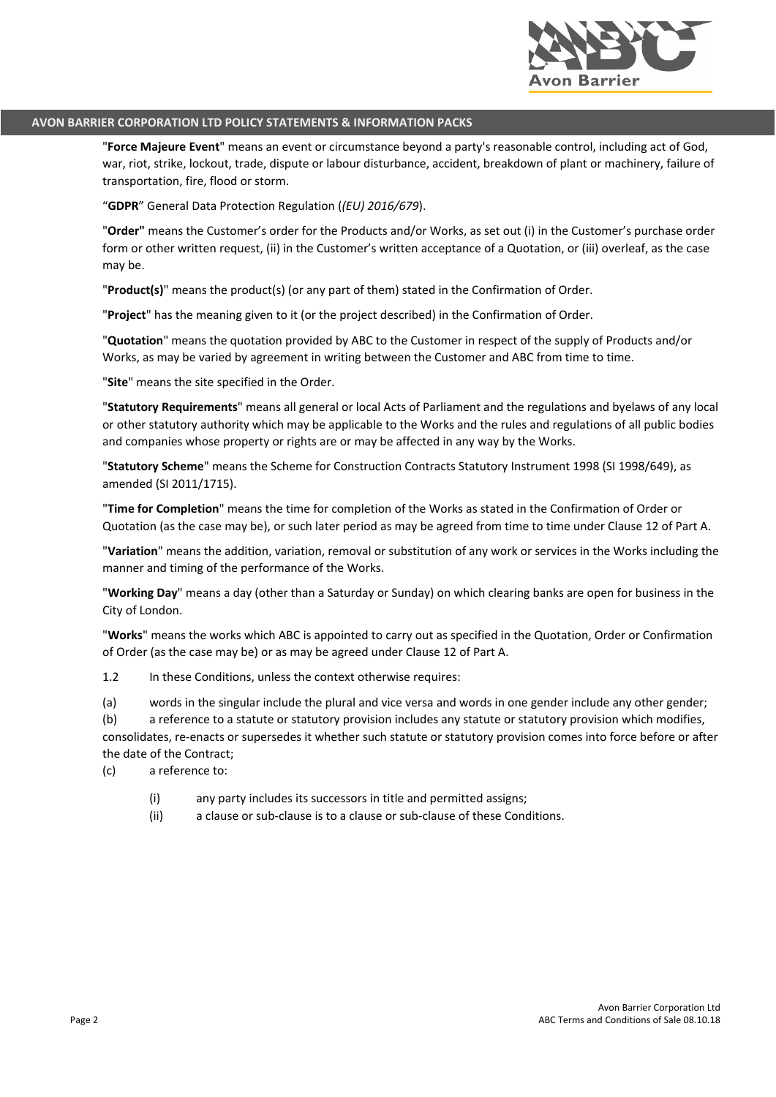

"**Force Majeure Event**" means an event or circumstance beyond a party's reasonable control, including act of God, war, riot, strike, lockout, trade, dispute or labour disturbance, accident, breakdown of plant or machinery, failure of transportation, fire, flood or storm.

"**GDPR**" General Data Protection Regulation (*(EU) 2016/679*).

"**Order"** means the Customer's order for the Products and/or Works, as set out (i) in the Customer's purchase order form or other written request, (ii) in the Customer's written acceptance of a Quotation, or (iii) overleaf, as the case may be.

"**Product(s)**" means the product(s) (or any part of them) stated in the Confirmation of Order.

"**Project**" has the meaning given to it (or the project described) in the Confirmation of Order.

"**Quotation**" means the quotation provided by ABC to the Customer in respect of the supply of Products and/or Works, as may be varied by agreement in writing between the Customer and ABC from time to time.

"**Site**" means the site specified in the Order.

"**Statutory Requirements**" means all general or local Acts of Parliament and the regulations and byelaws of any local or other statutory authority which may be applicable to the Works and the rules and regulations of all public bodies and companies whose property or rights are or may be affected in any way by the Works.

"**Statutory Scheme**" means the Scheme for Construction Contracts Statutory Instrument 1998 (SI 1998/649), as amended (SI 2011/1715).

"**Time for Completion**" means the time for completion of the Works as stated in the Confirmation of Order or Quotation (as the case may be), or such later period as may be agreed from time to time under Clause 12 of Part A.

"**Variation**" means the addition, variation, removal or substitution of any work or services in the Works including the manner and timing of the performance of the Works.

"**Working Day**" means a day (other than a Saturday or Sunday) on which clearing banks are open for business in the City of London.

"**Works**" means the works which ABC is appointed to carry out as specified in the Quotation, Order or Confirmation of Order (as the case may be) or as may be agreed under Clause 12 of Part A.

1.2 In these Conditions, unless the context otherwise requires:

(a) words in the singular include the plural and vice versa and words in one gender include any other gender;

(b) a reference to a statute or statutory provision includes any statute or statutory provision which modifies, consolidates, re-enacts or supersedes it whether such statute or statutory provision comes into force before or after the date of the Contract;

(c) a reference to:

- (i) any party includes its successors in title and permitted assigns;
- (ii) a clause or sub-clause is to a clause or sub-clause of these Conditions.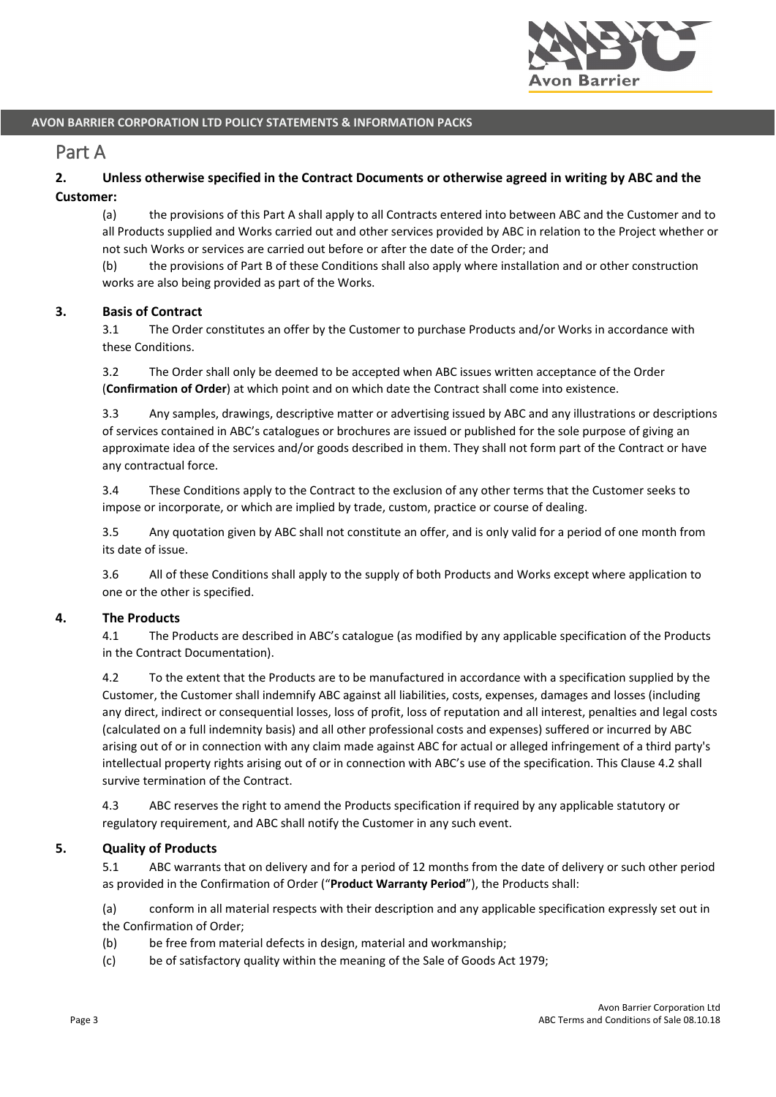

## Part A

## **2. Unless otherwise specified in the Contract Documents or otherwise agreed in writing by ABC and the Customer:**

(a) the provisions of this Part A shall apply to all Contracts entered into between ABC and the Customer and to all Products supplied and Works carried out and other services provided by ABC in relation to the Project whether or not such Works or services are carried out before or after the date of the Order; and

(b) the provisions of Part B of these Conditions shall also apply where installation and or other construction works are also being provided as part of the Works.

## **3. Basis of Contract**

3.1 The Order constitutes an offer by the Customer to purchase Products and/or Works in accordance with these Conditions.

3.2 The Order shall only be deemed to be accepted when ABC issues written acceptance of the Order (**Confirmation of Order**) at which point and on which date the Contract shall come into existence.

3.3 Any samples, drawings, descriptive matter or advertising issued by ABC and any illustrations or descriptions of services contained in ABC's catalogues or brochures are issued or published for the sole purpose of giving an approximate idea of the services and/or goods described in them. They shall not form part of the Contract or have any contractual force.

3.4 These Conditions apply to the Contract to the exclusion of any other terms that the Customer seeks to impose or incorporate, or which are implied by trade, custom, practice or course of dealing.

3.5 Any quotation given by ABC shall not constitute an offer, and is only valid for a period of one month from its date of issue.

3.6 All of these Conditions shall apply to the supply of both Products and Works except where application to one or the other is specified.

#### **4. The Products**

4.1 The Products are described in ABC's catalogue (as modified by any applicable specification of the Products in the Contract Documentation).

4.2 To the extent that the Products are to be manufactured in accordance with a specification supplied by the Customer, the Customer shall indemnify ABC against all liabilities, costs, expenses, damages and losses (including any direct, indirect or consequential losses, loss of profit, loss of reputation and all interest, penalties and legal costs (calculated on a full indemnity basis) and all other professional costs and expenses) suffered or incurred by ABC arising out of or in connection with any claim made against ABC for actual or alleged infringement of a third party's intellectual property rights arising out of or in connection with ABC's use of the specification. This Clause 4.2 shall survive termination of the Contract.

4.3 ABC reserves the right to amend the Products specification if required by any applicable statutory or regulatory requirement, and ABC shall notify the Customer in any such event.

#### **5. Quality of Products**

5.1 ABC warrants that on delivery and for a period of 12 months from the date of delivery or such other period as provided in the Confirmation of Order ("**Product Warranty Period**"), the Products shall:

(a) conform in all material respects with their description and any applicable specification expressly set out in the Confirmation of Order;

- (b) be free from material defects in design, material and workmanship;
- (c) be of satisfactory quality within the meaning of the Sale of Goods Act 1979;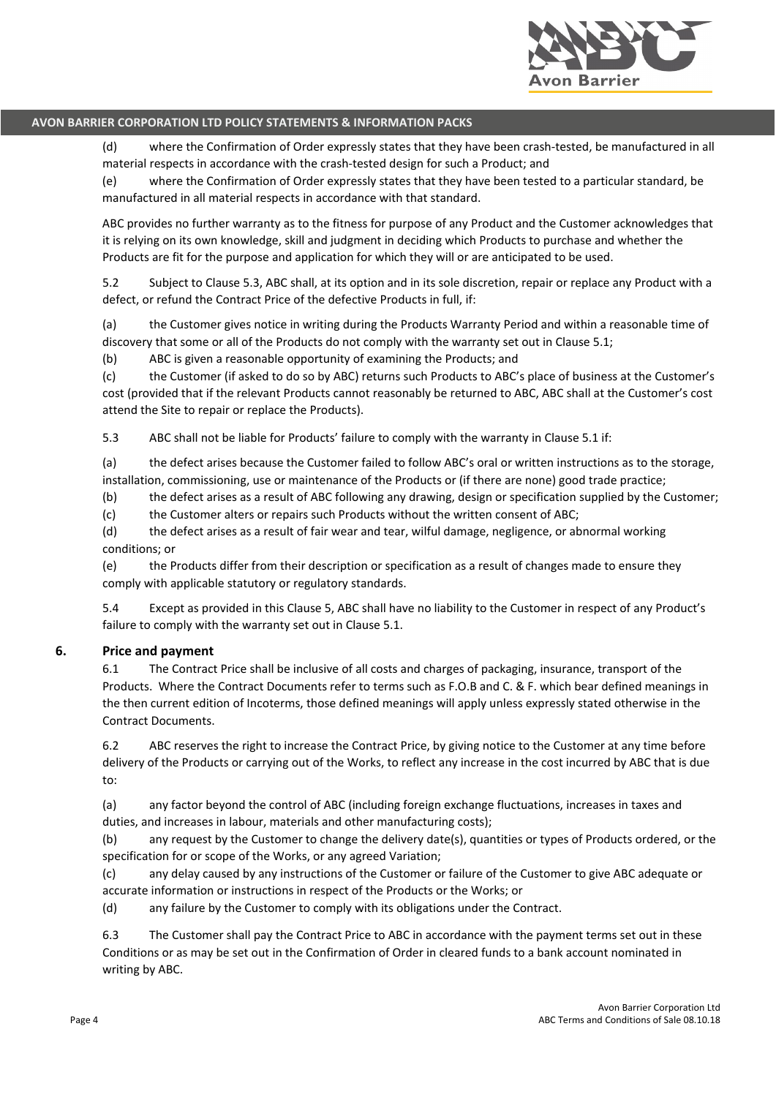

(d) where the Confirmation of Order expressly states that they have been crash-tested, be manufactured in all material respects in accordance with the crash-tested design for such a Product; and

(e) where the Confirmation of Order expressly states that they have been tested to a particular standard, be manufactured in all material respects in accordance with that standard.

ABC provides no further warranty as to the fitness for purpose of any Product and the Customer acknowledges that it is relying on its own knowledge, skill and judgment in deciding which Products to purchase and whether the Products are fit for the purpose and application for which they will or are anticipated to be used.

5.2 Subject to Clause 5.3, ABC shall, at its option and in its sole discretion, repair or replace any Product with a defect, or refund the Contract Price of the defective Products in full, if:

(a) the Customer gives notice in writing during the Products Warranty Period and within a reasonable time of discovery that some or all of the Products do not comply with the warranty set out in Clause 5.1;

(b) ABC is given a reasonable opportunity of examining the Products; and

(c) the Customer (if asked to do so by ABC) returns such Products to ABC's place of business at the Customer's cost (provided that if the relevant Products cannot reasonably be returned to ABC, ABC shall at the Customer's cost attend the Site to repair or replace the Products).

5.3 ABC shall not be liable for Products' failure to comply with the warranty in Clause 5.1 if:

(a) the defect arises because the Customer failed to follow ABC's oral or written instructions as to the storage, installation, commissioning, use or maintenance of the Products or (if there are none) good trade practice;

(b) the defect arises as a result of ABC following any drawing, design or specification supplied by the Customer;

(c) the Customer alters or repairs such Products without the written consent of ABC;

(d) the defect arises as a result of fair wear and tear, wilful damage, negligence, or abnormal working conditions; or

(e) the Products differ from their description or specification as a result of changes made to ensure they comply with applicable statutory or regulatory standards.

5.4 Except as provided in this Clause 5, ABC shall have no liability to the Customer in respect of any Product's failure to comply with the warranty set out in Clause 5.1.

## **6. Price and payment**

6.1 The Contract Price shall be inclusive of all costs and charges of packaging, insurance, transport of the Products. Where the Contract Documents refer to terms such as F.O.B and C. & F. which bear defined meanings in the then current edition of Incoterms, those defined meanings will apply unless expressly stated otherwise in the Contract Documents.

6.2 ABC reserves the right to increase the Contract Price, by giving notice to the Customer at any time before delivery of the Products or carrying out of the Works, to reflect any increase in the cost incurred by ABC that is due to:

(a) any factor beyond the control of ABC (including foreign exchange fluctuations, increases in taxes and duties, and increases in labour, materials and other manufacturing costs);

(b) any request by the Customer to change the delivery date(s), quantities or types of Products ordered, or the specification for or scope of the Works, or any agreed Variation;

(c) any delay caused by any instructions of the Customer or failure of the Customer to give ABC adequate or accurate information or instructions in respect of the Products or the Works; or

(d) any failure by the Customer to comply with its obligations under the Contract.

6.3 The Customer shall pay the Contract Price to ABC in accordance with the payment terms set out in these Conditions or as may be set out in the Confirmation of Order in cleared funds to a bank account nominated in writing by ABC.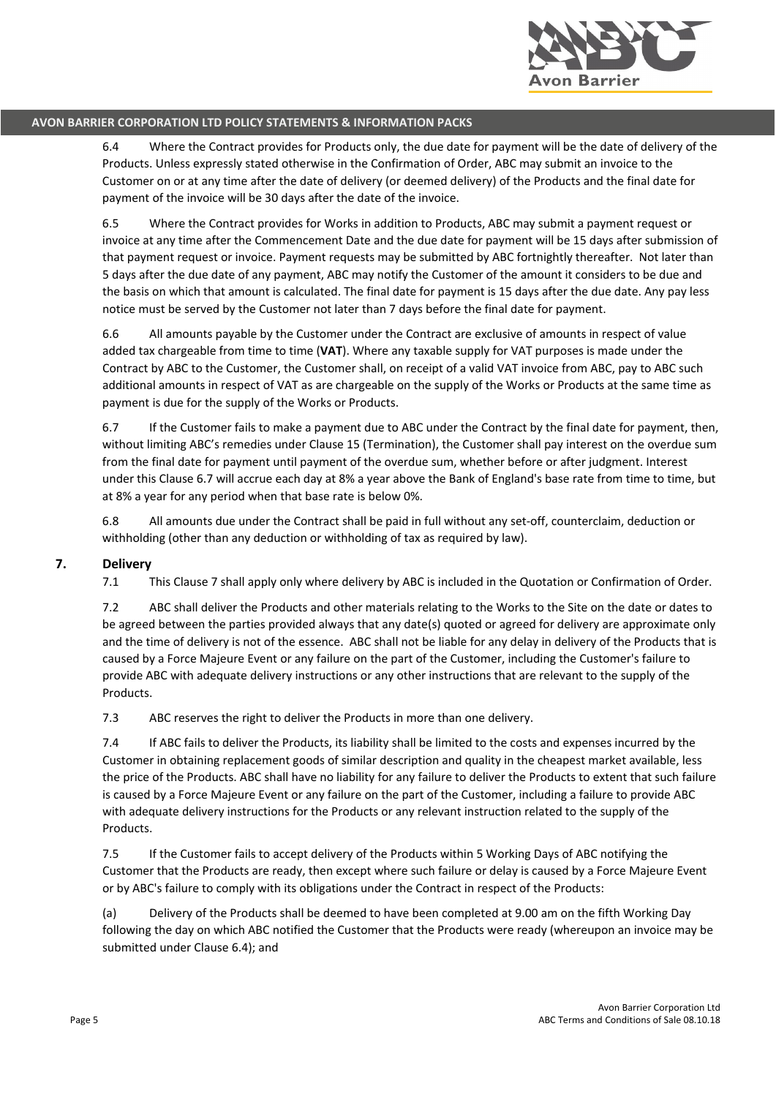

6.4 Where the Contract provides for Products only, the due date for payment will be the date of delivery of the Products. Unless expressly stated otherwise in the Confirmation of Order, ABC may submit an invoice to the Customer on or at any time after the date of delivery (or deemed delivery) of the Products and the final date for payment of the invoice will be 30 days after the date of the invoice.

6.5 Where the Contract provides for Works in addition to Products, ABC may submit a payment request or invoice at any time after the Commencement Date and the due date for payment will be 15 days after submission of that payment request or invoice. Payment requests may be submitted by ABC fortnightly thereafter. Not later than 5 days after the due date of any payment, ABC may notify the Customer of the amount it considers to be due and the basis on which that amount is calculated. The final date for payment is 15 days after the due date. Any pay less notice must be served by the Customer not later than 7 days before the final date for payment.

6.6 All amounts payable by the Customer under the Contract are exclusive of amounts in respect of value added tax chargeable from time to time (**VAT**). Where any taxable supply for VAT purposes is made under the Contract by ABC to the Customer, the Customer shall, on receipt of a valid VAT invoice from ABC, pay to ABC such additional amounts in respect of VAT as are chargeable on the supply of the Works or Products at the same time as payment is due for the supply of the Works or Products.

6.7 If the Customer fails to make a payment due to ABC under the Contract by the final date for payment, then, without limiting ABC's remedies under Clause 15 (Termination), the Customer shall pay interest on the overdue sum from the final date for payment until payment of the overdue sum, whether before or after judgment. Interest under this Clause 6.7 will accrue each day at 8% a year above the Bank of England's base rate from time to time, but at 8% a year for any period when that base rate is below 0%.

6.8 All amounts due under the Contract shall be paid in full without any set-off, counterclaim, deduction or withholding (other than any deduction or withholding of tax as required by law).

#### **7. Delivery**

7.1 This Clause 7 shall apply only where delivery by ABC is included in the Quotation or Confirmation of Order.

7.2 ABC shall deliver the Products and other materials relating to the Works to the Site on the date or dates to be agreed between the parties provided always that any date(s) quoted or agreed for delivery are approximate only and the time of delivery is not of the essence. ABC shall not be liable for any delay in delivery of the Products that is caused by a Force Majeure Event or any failure on the part of the Customer, including the Customer's failure to provide ABC with adequate delivery instructions or any other instructions that are relevant to the supply of the Products.

7.3 ABC reserves the right to deliver the Products in more than one delivery.

7.4 If ABC fails to deliver the Products, its liability shall be limited to the costs and expenses incurred by the Customer in obtaining replacement goods of similar description and quality in the cheapest market available, less the price of the Products. ABC shall have no liability for any failure to deliver the Products to extent that such failure is caused by a Force Majeure Event or any failure on the part of the Customer, including a failure to provide ABC with adequate delivery instructions for the Products or any relevant instruction related to the supply of the Products.

7.5 If the Customer fails to accept delivery of the Products within 5 Working Days of ABC notifying the Customer that the Products are ready, then except where such failure or delay is caused by a Force Majeure Event or by ABC's failure to comply with its obligations under the Contract in respect of the Products:

(a) Delivery of the Products shall be deemed to have been completed at 9.00 am on the fifth Working Day following the day on which ABC notified the Customer that the Products were ready (whereupon an invoice may be submitted under Clause 6.4); and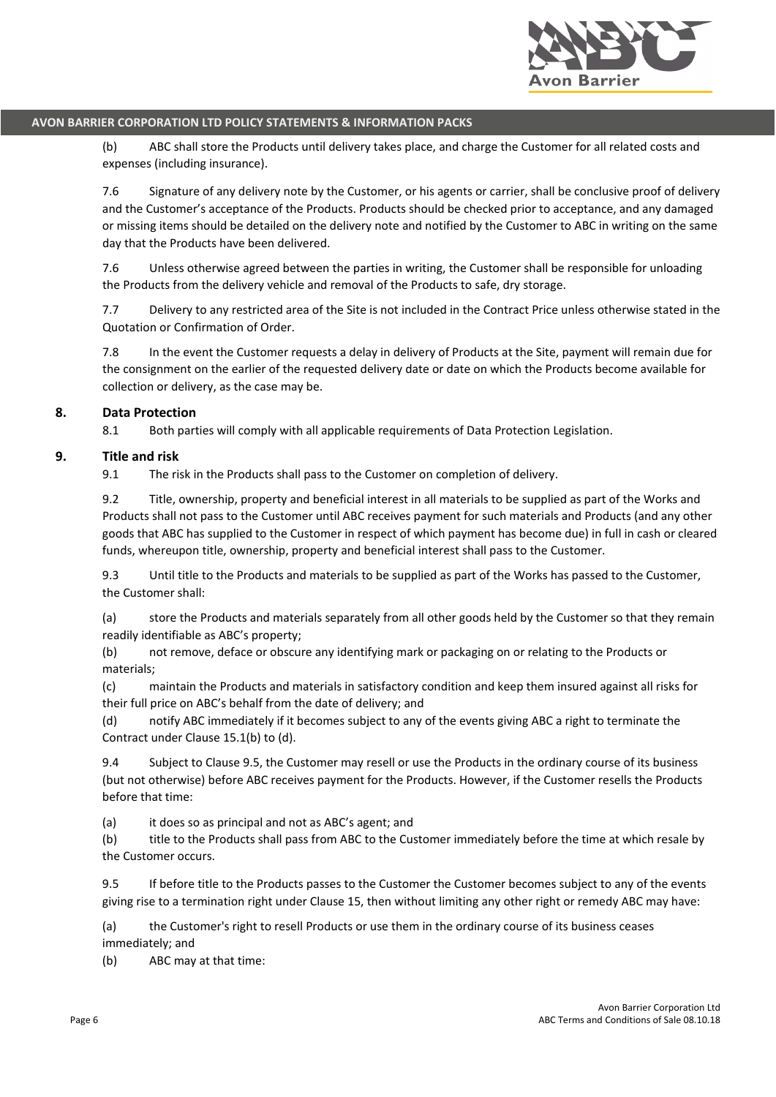

(b) ABC shall store the Products until delivery takes place, and charge the Customer for all related costs and expenses (including insurance).

7.6 Signature of any delivery note by the Customer, or his agents or carrier, shall be conclusive proof of delivery and the Customer's acceptance of the Products. Products should be checked prior to acceptance, and any damaged or missing items should be detailed on the delivery note and notified by the Customer to ABC in writing on the same day that the Products have been delivered.

7.6 Unless otherwise agreed between the parties in writing, the Customer shall be responsible for unloading the Products from the delivery vehicle and removal of the Products to safe, dry storage.

7.7 Delivery to any restricted area of the Site is not included in the Contract Price unless otherwise stated in the Quotation or Confirmation of Order.

7.8 In the event the Customer requests a delay in delivery of Products at the Site, payment will remain due for the consignment on the earlier of the requested delivery date or date on which the Products become available for collection or delivery, as the case may be.

## **8. Data Protection**

8.1 Both parties will comply with all applicable requirements of Data Protection Legislation.

## **9. Title and risk**

9.1 The risk in the Products shall pass to the Customer on completion of delivery.

9.2 Title, ownership, property and beneficial interest in all materials to be supplied as part of the Works and Products shall not pass to the Customer until ABC receives payment for such materials and Products (and any other goods that ABC has supplied to the Customer in respect of which payment has become due) in full in cash or cleared funds, whereupon title, ownership, property and beneficial interest shall pass to the Customer.

9.3 Until title to the Products and materials to be supplied as part of the Works has passed to the Customer, the Customer shall:

(a) store the Products and materials separately from all other goods held by the Customer so that they remain readily identifiable as ABC's property;

(b) not remove, deface or obscure any identifying mark or packaging on or relating to the Products or materials;

(c) maintain the Products and materials in satisfactory condition and keep them insured against all risks for their full price on ABC's behalf from the date of delivery; and

(d) notify ABC immediately if it becomes subject to any of the events giving ABC a right to terminate the Contract under Clause 15.1(b) to (d).

9.4 Subject to Clause 9.5, the Customer may resell or use the Products in the ordinary course of its business (but not otherwise) before ABC receives payment for the Products. However, if the Customer resells the Products before that time:

(a) it does so as principal and not as ABC's agent; and

(b) title to the Products shall pass from ABC to the Customer immediately before the time at which resale by the Customer occurs.

9.5 If before title to the Products passes to the Customer the Customer becomes subject to any of the events giving rise to a termination right under Clause 15, then without limiting any other right or remedy ABC may have:

(a) the Customer's right to resell Products or use them in the ordinary course of its business ceases immediately; and

(b) ABC may at that time: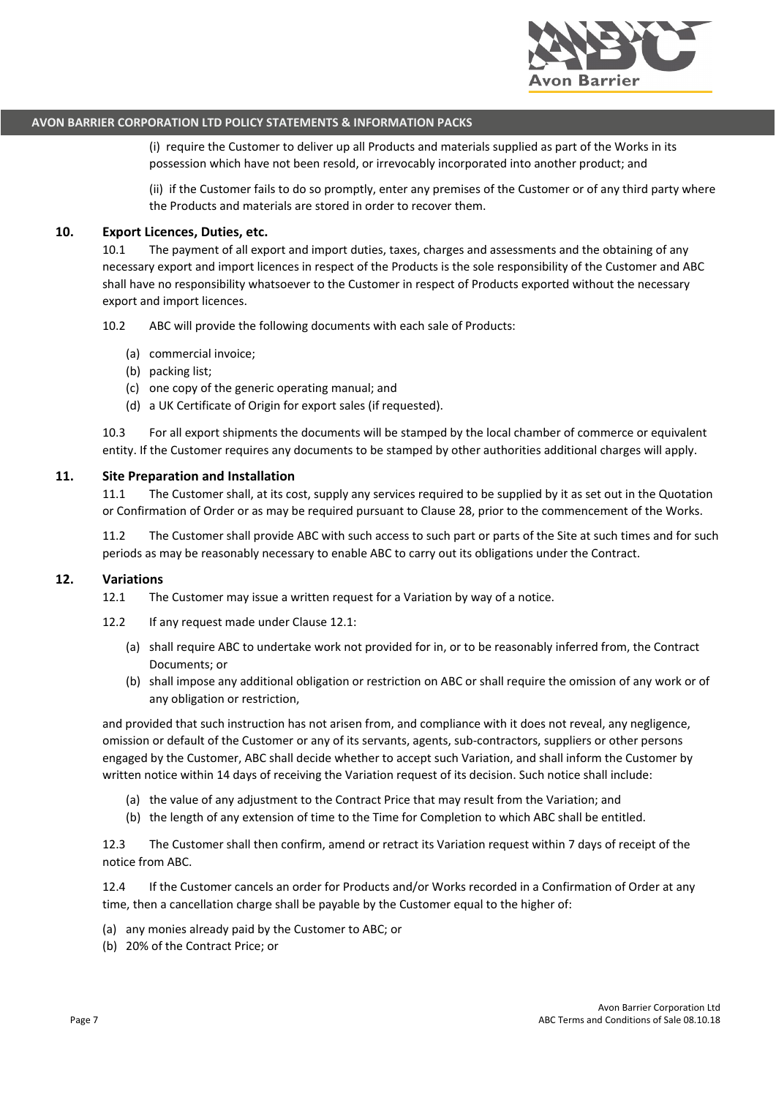

(i) require the Customer to deliver up all Products and materials supplied as part of the Works in its possession which have not been resold, or irrevocably incorporated into another product; and

(ii) if the Customer fails to do so promptly, enter any premises of the Customer or of any third party where the Products and materials are stored in order to recover them.

#### **10. Export Licences, Duties, etc.**

10.1 The payment of all export and import duties, taxes, charges and assessments and the obtaining of any necessary export and import licences in respect of the Products is the sole responsibility of the Customer and ABC shall have no responsibility whatsoever to the Customer in respect of Products exported without the necessary export and import licences.

10.2 ABC will provide the following documents with each sale of Products:

- (a) commercial invoice;
- (b) packing list;
- (c) one copy of the generic operating manual; and
- (d) a UK Certificate of Origin for export sales (if requested).

10.3 For all export shipments the documents will be stamped by the local chamber of commerce or equivalent entity. If the Customer requires any documents to be stamped by other authorities additional charges will apply.

#### **11. Site Preparation and Installation**

11.1 The Customer shall, at its cost, supply any services required to be supplied by it as set out in the Quotation or Confirmation of Order or as may be required pursuant to Clause 28, prior to the commencement of the Works.

11.2 The Customer shall provide ABC with such access to such part or parts of the Site at such times and for such periods as may be reasonably necessary to enable ABC to carry out its obligations under the Contract.

#### **12. Variations**

12.1 The Customer may issue a written request for a Variation by way of a notice.

- 12.2 If any request made under Clause 12.1:
	- (a) shall require ABC to undertake work not provided for in, or to be reasonably inferred from, the Contract Documents; or
	- (b) shall impose any additional obligation or restriction on ABC or shall require the omission of any work or of any obligation or restriction,

and provided that such instruction has not arisen from, and compliance with it does not reveal, any negligence, omission or default of the Customer or any of its servants, agents, sub-contractors, suppliers or other persons engaged by the Customer, ABC shall decide whether to accept such Variation, and shall inform the Customer by written notice within 14 days of receiving the Variation request of its decision. Such notice shall include:

- (a) the value of any adjustment to the Contract Price that may result from the Variation; and
- (b) the length of any extension of time to the Time for Completion to which ABC shall be entitled.

12.3 The Customer shall then confirm, amend or retract its Variation request within 7 days of receipt of the notice from ABC.

12.4 If the Customer cancels an order for Products and/or Works recorded in a Confirmation of Order at any time, then a cancellation charge shall be payable by the Customer equal to the higher of:

- (a) any monies already paid by the Customer to ABC; or
- (b) 20% of the Contract Price; or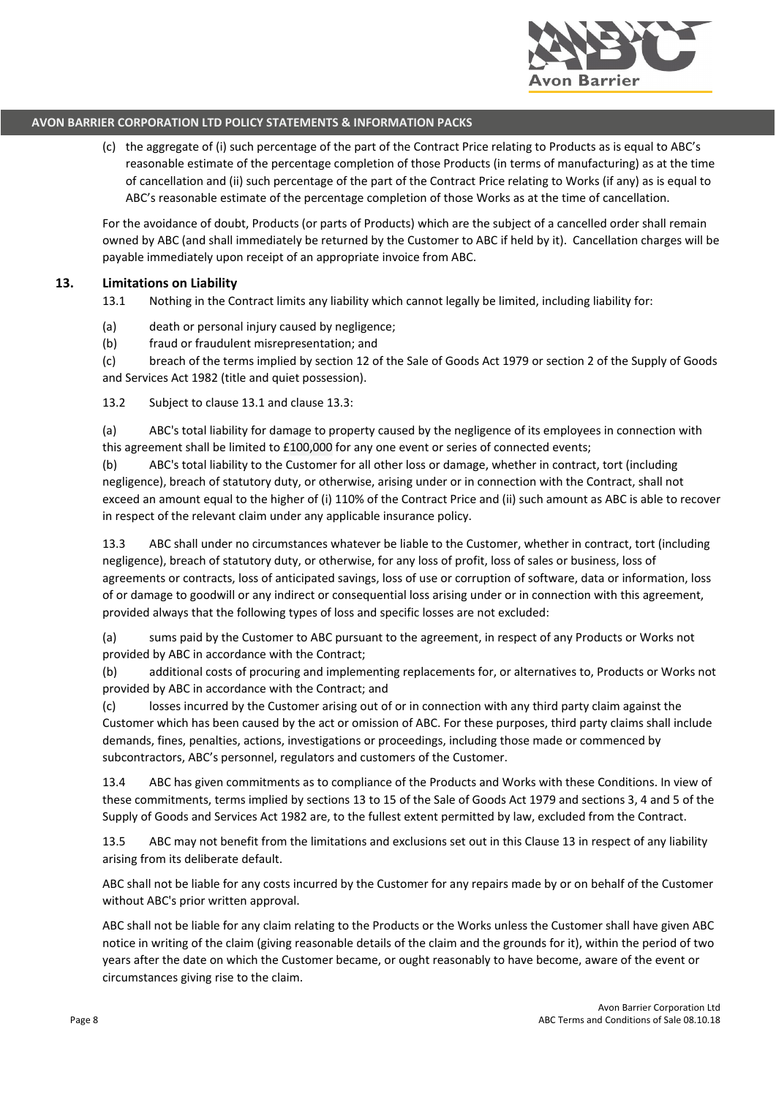

(c) the aggregate of (i) such percentage of the part of the Contract Price relating to Products as is equal to ABC's reasonable estimate of the percentage completion of those Products (in terms of manufacturing) as at the time of cancellation and (ii) such percentage of the part of the Contract Price relating to Works (if any) as is equal to ABC's reasonable estimate of the percentage completion of those Works as at the time of cancellation.

For the avoidance of doubt, Products (or parts of Products) which are the subject of a cancelled order shall remain owned by ABC (and shall immediately be returned by the Customer to ABC if held by it). Cancellation charges will be payable immediately upon receipt of an appropriate invoice from ABC.

#### **13. Limitations on Liability**

13.1 Nothing in the Contract limits any liability which cannot legally be limited, including liability for:

- (a) death or personal injury caused by negligence;
- (b) fraud or fraudulent misrepresentation; and

(c) breach of the terms implied by section 12 of the Sale of Goods Act 1979 or section 2 of the Supply of Goods and Services Act 1982 (title and quiet possession).

13.2 Subject to clause 13.1 and clause 13.3:

(a) ABC's total liability for damage to property caused by the negligence of its employees in connection with this agreement shall be limited to £100,000 for any one event or series of connected events;

(b) ABC's total liability to the Customer for all other loss or damage, whether in contract, tort (including negligence), breach of statutory duty, or otherwise, arising under or in connection with the Contract, shall not exceed an amount equal to the higher of (i) 110% of the Contract Price and (ii) such amount as ABC is able to recover in respect of the relevant claim under any applicable insurance policy.

13.3 ABC shall under no circumstances whatever be liable to the Customer, whether in contract, tort (including negligence), breach of statutory duty, or otherwise, for any loss of profit, loss of sales or business, loss of agreements or contracts, loss of anticipated savings, loss of use or corruption of software, data or information, loss of or damage to goodwill or any indirect or consequential loss arising under or in connection with this agreement, provided always that the following types of loss and specific losses are not excluded:

(a) sums paid by the Customer to ABC pursuant to the agreement, in respect of any Products or Works not provided by ABC in accordance with the Contract;

(b) additional costs of procuring and implementing replacements for, or alternatives to, Products or Works not provided by ABC in accordance with the Contract; and

(c) losses incurred by the Customer arising out of or in connection with any third party claim against the Customer which has been caused by the act or omission of ABC. For these purposes, third party claims shall include demands, fines, penalties, actions, investigations or proceedings, including those made or commenced by subcontractors, ABC's personnel, regulators and customers of the Customer.

13.4 ABC has given commitments as to compliance of the Products and Works with these Conditions. In view of these commitments, terms implied by sections 13 to 15 of the Sale of Goods Act 1979 and sections 3, 4 and 5 of the Supply of Goods and Services Act 1982 are, to the fullest extent permitted by law, excluded from the Contract.

13.5 ABC may not benefit from the limitations and exclusions set out in this Clause 13 in respect of any liability arising from its deliberate default.

ABC shall not be liable for any costs incurred by the Customer for any repairs made by or on behalf of the Customer without ABC's prior written approval.

ABC shall not be liable for any claim relating to the Products or the Works unless the Customer shall have given ABC notice in writing of the claim (giving reasonable details of the claim and the grounds for it), within the period of two years after the date on which the Customer became, or ought reasonably to have become, aware of the event or circumstances giving rise to the claim.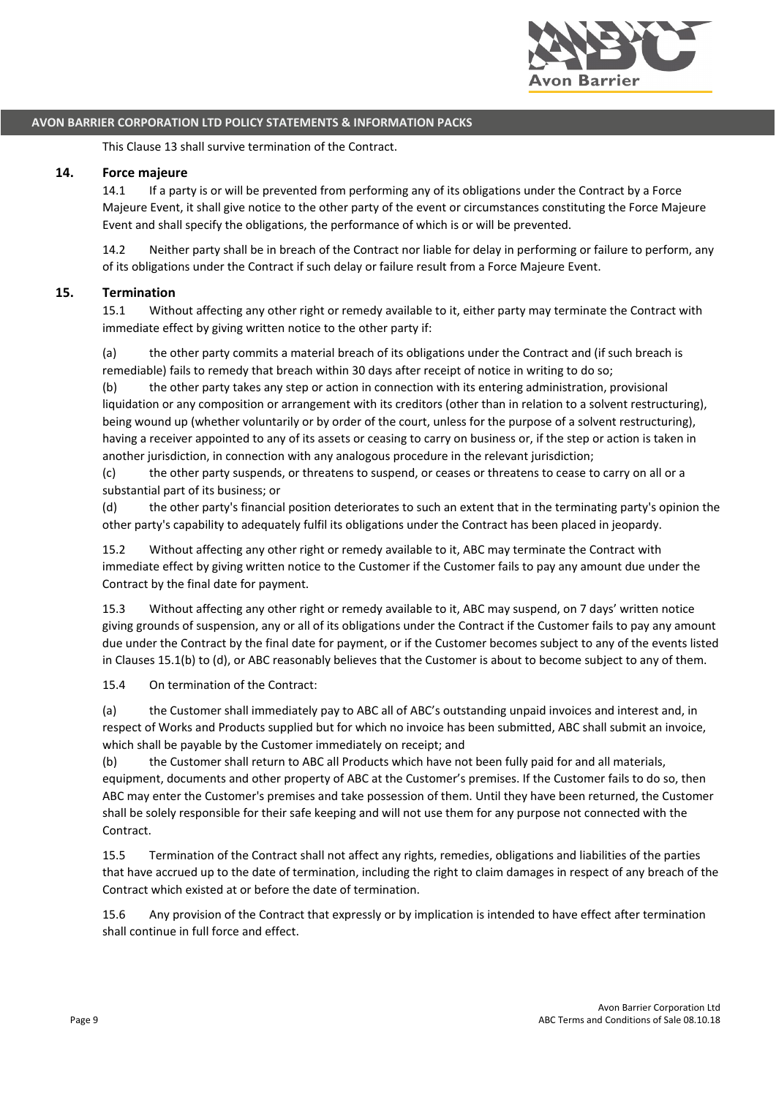

This Clause 13 shall survive termination of the Contract.

#### **14. Force majeure**

14.1 If a party is or will be prevented from performing any of its obligations under the Contract by a Force Majeure Event, it shall give notice to the other party of the event or circumstances constituting the Force Majeure Event and shall specify the obligations, the performance of which is or will be prevented.

14.2 Neither party shall be in breach of the Contract nor liable for delay in performing or failure to perform, any of its obligations under the Contract if such delay or failure result from a Force Majeure Event.

#### **15. Termination**

15.1 Without affecting any other right or remedy available to it, either party may terminate the Contract with immediate effect by giving written notice to the other party if:

(a) the other party commits a material breach of its obligations under the Contract and (if such breach is remediable) fails to remedy that breach within 30 days after receipt of notice in writing to do so;

(b) the other party takes any step or action in connection with its entering administration, provisional liquidation or any composition or arrangement with its creditors (other than in relation to a solvent restructuring), being wound up (whether voluntarily or by order of the court, unless for the purpose of a solvent restructuring), having a receiver appointed to any of its assets or ceasing to carry on business or, if the step or action is taken in another jurisdiction, in connection with any analogous procedure in the relevant jurisdiction;

(c) the other party suspends, or threatens to suspend, or ceases or threatens to cease to carry on all or a substantial part of its business; or

(d) the other party's financial position deteriorates to such an extent that in the terminating party's opinion the other party's capability to adequately fulfil its obligations under the Contract has been placed in jeopardy.

15.2 Without affecting any other right or remedy available to it, ABC may terminate the Contract with immediate effect by giving written notice to the Customer if the Customer fails to pay any amount due under the Contract by the final date for payment.

15.3 Without affecting any other right or remedy available to it, ABC may suspend, on 7 days' written notice giving grounds of suspension, any or all of its obligations under the Contract if the Customer fails to pay any amount due under the Contract by the final date for payment, or if the Customer becomes subject to any of the events listed in Clauses 15.1(b) to (d), or ABC reasonably believes that the Customer is about to become subject to any of them.

15.4 On termination of the Contract:

(a) the Customer shall immediately pay to ABC all of ABC's outstanding unpaid invoices and interest and, in respect of Works and Products supplied but for which no invoice has been submitted, ABC shall submit an invoice, which shall be payable by the Customer immediately on receipt; and

(b) the Customer shall return to ABC all Products which have not been fully paid for and all materials, equipment, documents and other property of ABC at the Customer's premises. If the Customer fails to do so, then ABC may enter the Customer's premises and take possession of them. Until they have been returned, the Customer shall be solely responsible for their safe keeping and will not use them for any purpose not connected with the Contract.

15.5 Termination of the Contract shall not affect any rights, remedies, obligations and liabilities of the parties that have accrued up to the date of termination, including the right to claim damages in respect of any breach of the Contract which existed at or before the date of termination.

15.6 Any provision of the Contract that expressly or by implication is intended to have effect after termination shall continue in full force and effect.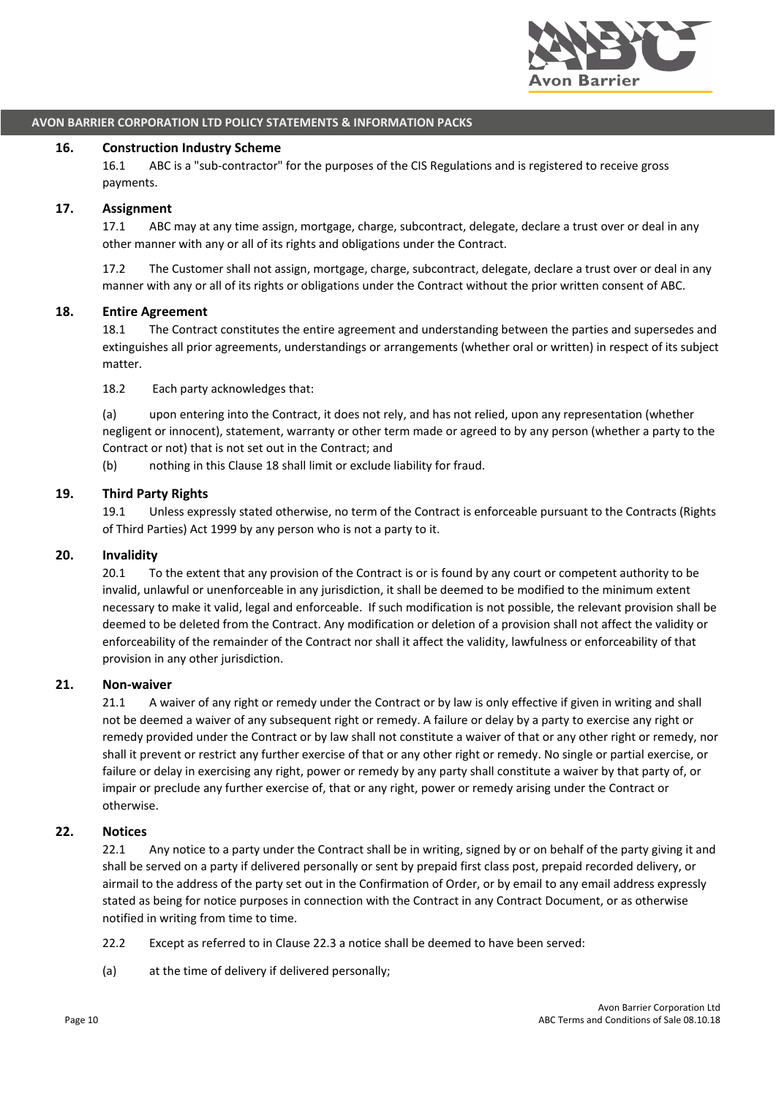

#### **16. Construction Industry Scheme**

16.1 ABC is a "sub-contractor" for the purposes of the CIS Regulations and is registered to receive gross payments.

#### **17. Assignment**

17.1 ABC may at any time assign, mortgage, charge, subcontract, delegate, declare a trust over or deal in any other manner with any or all of its rights and obligations under the Contract.

17.2 The Customer shall not assign, mortgage, charge, subcontract, delegate, declare a trust over or deal in any manner with any or all of its rights or obligations under the Contract without the prior written consent of ABC.

#### **18. Entire Agreement**

18.1 The Contract constitutes the entire agreement and understanding between the parties and supersedes and extinguishes all prior agreements, understandings or arrangements (whether oral or written) in respect of its subject matter.

18.2 Each party acknowledges that:

(a) upon entering into the Contract, it does not rely, and has not relied, upon any representation (whether negligent or innocent), statement, warranty or other term made or agreed to by any person (whether a party to the Contract or not) that is not set out in the Contract; and

(b) nothing in this Clause 18 shall limit or exclude liability for fraud.

#### **19. Third Party Rights**

19.1 Unless expressly stated otherwise, no term of the Contract is enforceable pursuant to the Contracts (Rights of Third Parties) Act 1999 by any person who is not a party to it.

#### **20. Invalidity**

20.1 To the extent that any provision of the Contract is or is found by any court or competent authority to be invalid, unlawful or unenforceable in any jurisdiction, it shall be deemed to be modified to the minimum extent necessary to make it valid, legal and enforceable. If such modification is not possible, the relevant provision shall be deemed to be deleted from the Contract. Any modification or deletion of a provision shall not affect the validity or enforceability of the remainder of the Contract nor shall it affect the validity, lawfulness or enforceability of that provision in any other jurisdiction.

#### **21. Non-waiver**

21.1 A waiver of any right or remedy under the Contract or by law is only effective if given in writing and shall not be deemed a waiver of any subsequent right or remedy. A failure or delay by a party to exercise any right or remedy provided under the Contract or by law shall not constitute a waiver of that or any other right or remedy, nor shall it prevent or restrict any further exercise of that or any other right or remedy. No single or partial exercise, or failure or delay in exercising any right, power or remedy by any party shall constitute a waiver by that party of, or impair or preclude any further exercise of, that or any right, power or remedy arising under the Contract or otherwise.

#### **22. Notices**

22.1 Any notice to a party under the Contract shall be in writing, signed by or on behalf of the party giving it and shall be served on a party if delivered personally or sent by prepaid first class post, prepaid recorded delivery, or airmail to the address of the party set out in the Confirmation of Order, or by email to any email address expressly stated as being for notice purposes in connection with the Contract in any Contract Document, or as otherwise notified in writing from time to time.

- 22.2 Except as referred to in Clause 22.3 a notice shall be deemed to have been served:
- (a) at the time of delivery if delivered personally;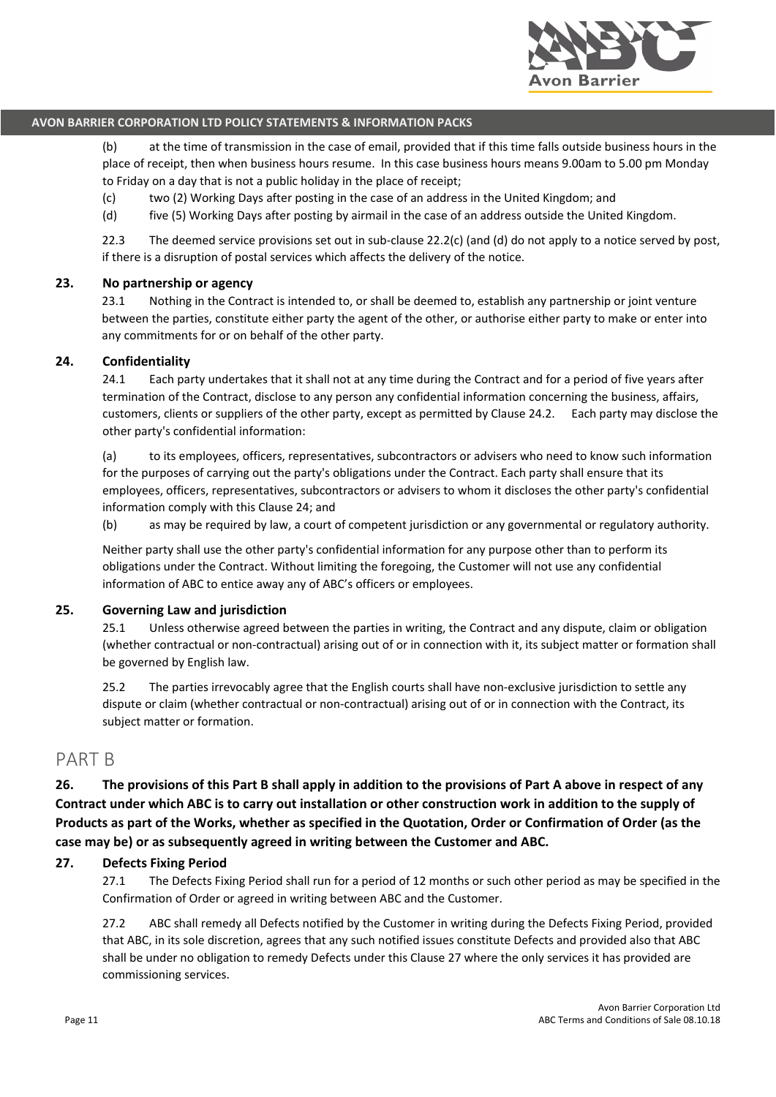

(b) at the time of transmission in the case of email, provided that if this time falls outside business hours in the place of receipt, then when business hours resume. In this case business hours means 9.00am to 5.00 pm Monday to Friday on a day that is not a public holiday in the place of receipt;

- (c) two (2) Working Days after posting in the case of an address in the United Kingdom; and
- (d) five (5) Working Days after posting by airmail in the case of an address outside the United Kingdom.

22.3 The deemed service provisions set out in sub-clause 22.2(c) (and (d) do not apply to a notice served by post, if there is a disruption of postal services which affects the delivery of the notice.

## **23. No partnership or agency**

23.1 Nothing in the Contract is intended to, or shall be deemed to, establish any partnership or joint venture between the parties, constitute either party the agent of the other, or authorise either party to make or enter into any commitments for or on behalf of the other party.

#### **24. Confidentiality**

24.1 Each party undertakes that it shall not at any time during the Contract and for a period of five years after termination of the Contract, disclose to any person any confidential information concerning the business, affairs, customers, clients or suppliers of the other party, except as permitted by Clause 24.2. Each party may disclose the other party's confidential information:

(a) to its employees, officers, representatives, subcontractors or advisers who need to know such information for the purposes of carrying out the party's obligations under the Contract. Each party shall ensure that its employees, officers, representatives, subcontractors or advisers to whom it discloses the other party's confidential information comply with this Clause 24; and

(b) as may be required by law, a court of competent jurisdiction or any governmental or regulatory authority.

Neither party shall use the other party's confidential information for any purpose other than to perform its obligations under the Contract. Without limiting the foregoing, the Customer will not use any confidential information of ABC to entice away any of ABC's officers or employees.

#### **25. Governing Law and jurisdiction**

25.1 Unless otherwise agreed between the parties in writing, the Contract and any dispute, claim or obligation (whether contractual or non-contractual) arising out of or in connection with it, its subject matter or formation shall be governed by English law.

25.2 The parties irrevocably agree that the English courts shall have non-exclusive jurisdiction to settle any dispute or claim (whether contractual or non-contractual) arising out of or in connection with the Contract, its subject matter or formation.

# PART B

**26. The provisions of this Part B shall apply in addition to the provisions of Part A above in respect of any Contract under which ABC is to carry out installation or other construction work in addition to the supply of Products as part of the Works, whether as specified in the Quotation, Order or Confirmation of Order (as the case may be) or as subsequently agreed in writing between the Customer and ABC.**

#### **27. Defects Fixing Period**

27.1 The Defects Fixing Period shall run for a period of 12 months or such other period as may be specified in the Confirmation of Order or agreed in writing between ABC and the Customer.

27.2 ABC shall remedy all Defects notified by the Customer in writing during the Defects Fixing Period, provided that ABC, in its sole discretion, agrees that any such notified issues constitute Defects and provided also that ABC shall be under no obligation to remedy Defects under this Clause 27 where the only services it has provided are commissioning services.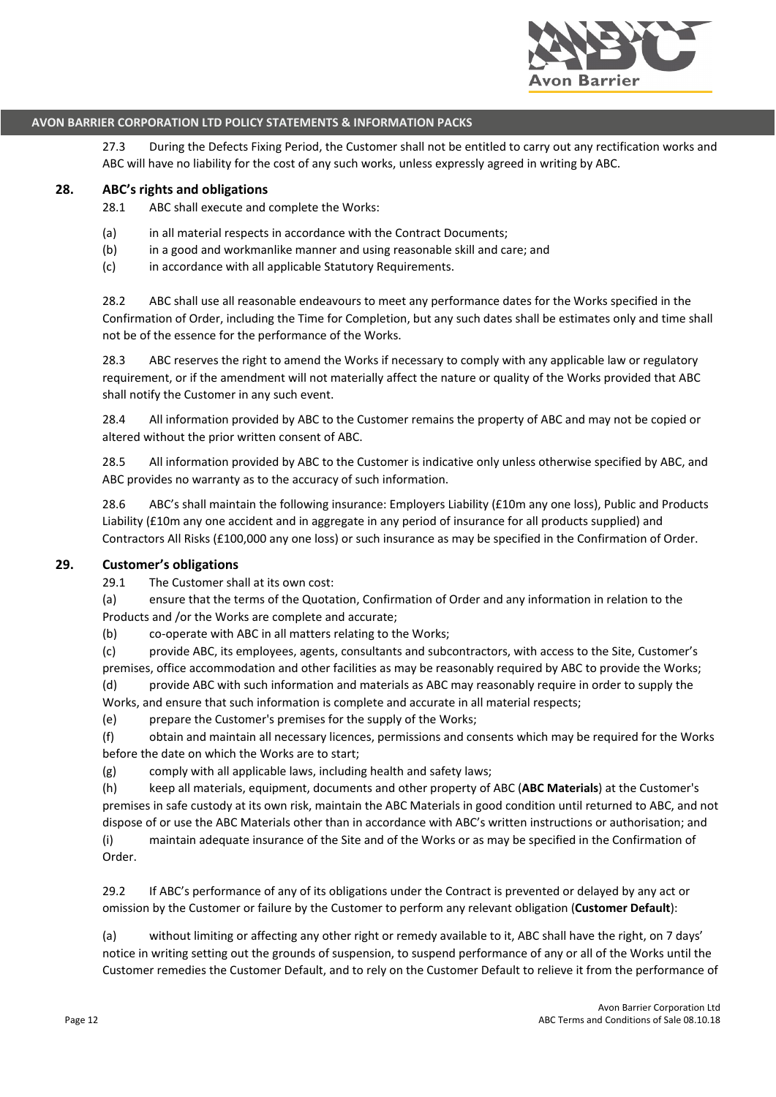

27.3 During the Defects Fixing Period, the Customer shall not be entitled to carry out any rectification works and ABC will have no liability for the cost of any such works, unless expressly agreed in writing by ABC.

#### **28. ABC's rights and obligations**

28.1 ABC shall execute and complete the Works:

- (a) in all material respects in accordance with the Contract Documents;
- (b) in a good and workmanlike manner and using reasonable skill and care; and
- (c) in accordance with all applicable Statutory Requirements.

28.2 ABC shall use all reasonable endeavours to meet any performance dates for the Works specified in the Confirmation of Order, including the Time for Completion, but any such dates shall be estimates only and time shall not be of the essence for the performance of the Works.

28.3 ABC reserves the right to amend the Works if necessary to comply with any applicable law or regulatory requirement, or if the amendment will not materially affect the nature or quality of the Works provided that ABC shall notify the Customer in any such event.

28.4 All information provided by ABC to the Customer remains the property of ABC and may not be copied or altered without the prior written consent of ABC.

28.5 All information provided by ABC to the Customer is indicative only unless otherwise specified by ABC, and ABC provides no warranty as to the accuracy of such information.

28.6 ABC's shall maintain the following insurance: Employers Liability (£10m any one loss), Public and Products Liability (£10m any one accident and in aggregate in any period of insurance for all products supplied) and Contractors All Risks (£100,000 any one loss) or such insurance as may be specified in the Confirmation of Order.

## **29. Customer's obligations**

29.1 The Customer shall at its own cost:

(a) ensure that the terms of the Quotation, Confirmation of Order and any information in relation to the Products and /or the Works are complete and accurate;

(b) co-operate with ABC in all matters relating to the Works;

(c) provide ABC, its employees, agents, consultants and subcontractors, with access to the Site, Customer's premises, office accommodation and other facilities as may be reasonably required by ABC to provide the Works; (d) provide ABC with such information and materials as ABC may reasonably require in order to supply the

Works, and ensure that such information is complete and accurate in all material respects;

(e) prepare the Customer's premises for the supply of the Works;

(f) obtain and maintain all necessary licences, permissions and consents which may be required for the Works before the date on which the Works are to start;

(g) comply with all applicable laws, including health and safety laws;

(h) keep all materials, equipment, documents and other property of ABC (**ABC Materials**) at the Customer's premises in safe custody at its own risk, maintain the ABC Materials in good condition until returned to ABC, and not dispose of or use the ABC Materials other than in accordance with ABC's written instructions or authorisation; and

(i) maintain adequate insurance of the Site and of the Works or as may be specified in the Confirmation of Order.

29.2 If ABC's performance of any of its obligations under the Contract is prevented or delayed by any act or omission by the Customer or failure by the Customer to perform any relevant obligation (**Customer Default**):

(a) without limiting or affecting any other right or remedy available to it, ABC shall have the right, on 7 days' notice in writing setting out the grounds of suspension, to suspend performance of any or all of the Works until the Customer remedies the Customer Default, and to rely on the Customer Default to relieve it from the performance of